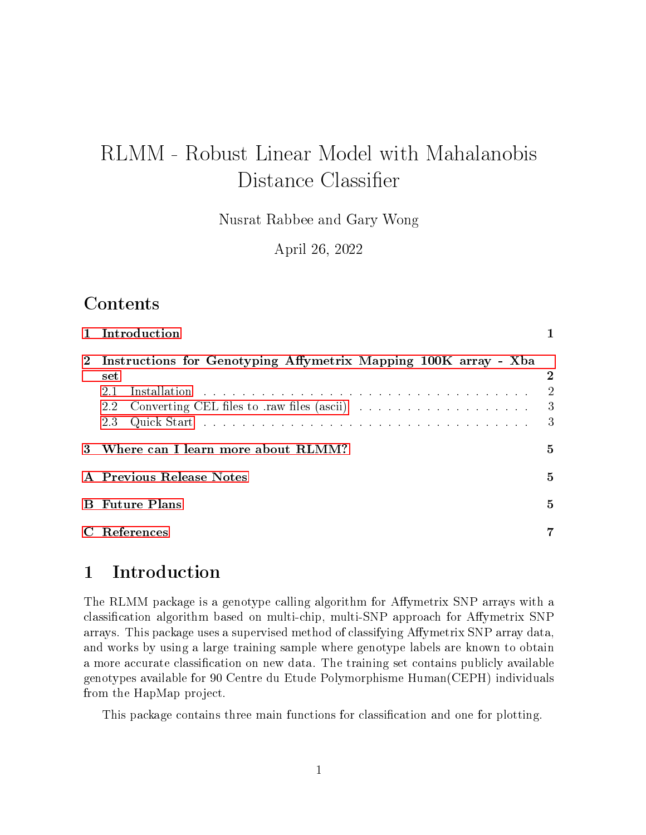# RLMM - Robust Linear Model with Mahalanobis Distance Classifier

Nusrat Rabbee and Gary Wong

April 26, 2022

### Contents

|              | 1 Introduction                                                                             |                                                                     |
|--------------|--------------------------------------------------------------------------------------------|---------------------------------------------------------------------|
| $2^{\circ}$  | Instructions for Genotyping Affymetrix Mapping 100K array - Xba<br>set<br>21<br>2.2<br>2.3 | $\overline{2}$<br>$\overline{2}$<br>$\overline{\phantom{a}3}$<br>-3 |
|              | 3 Where can I learn more about RLMM?                                                       | 5                                                                   |
|              | A Previous Release Notes                                                                   | 5                                                                   |
|              | <b>B</b> Future Plans                                                                      | 5                                                                   |
| $\mathbf{C}$ | <b>References</b>                                                                          | $\overline{7}$                                                      |
|              |                                                                                            |                                                                     |

### <span id="page-0-0"></span>1 Introduction

The RLMM package is a genotype calling algorithm for Affymetrix SNP arrays with a classification algorithm based on multi-chip, multi-SNP approach for Affymetrix SNP arrays. This package uses a supervised method of classifying Affymetrix SNP array data, and works by using a large training sample where genotype labels are known to obtain a more accurate classification on new data. The training set contains publicly available genotypes available for 90 Centre du Etude Polymorphisme Human(CEPH) individuals from the HapMap project.

This package contains three main functions for classication and one for plotting.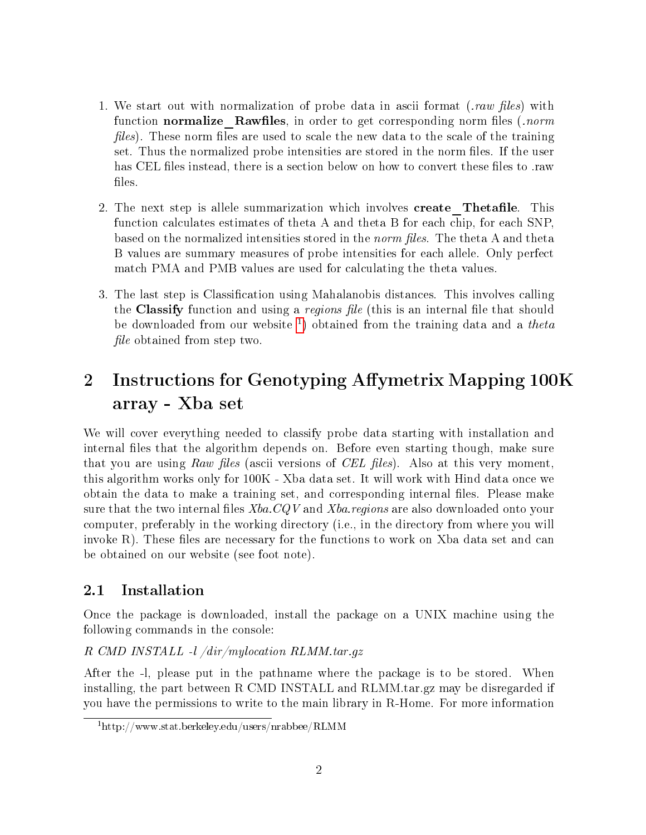- 1. We start out with normalization of probe data in ascii format (*raw files*) with function normalize Rawfiles, in order to get corresponding norm files  $(norm)$ files). These norm files are used to scale the new data to the scale of the training set. Thus the normalized probe intensities are stored in the norm files. If the user has CEL files instead, there is a section below on how to convert these files to .raw files.
- 2. The next step is allele summarization which involves **create** Thetafile. This function calculates estimates of theta A and theta B for each chip, for each SNP, based on the normalized intensities stored in the norm files. The theta A and theta B values are summary measures of probe intensities for each allele. Only perfect match PMA and PMB values are used for calculating the theta values.
- 3. The last step is Classification using Mahalanobis distances. This involves calling the Classify function and using a *regions file* (this is an internal file that should be downloaded from our website <sup>[1](#page-1-2)</sup>) obtained from the training data and a *theta file* obtained from step two.

# <span id="page-1-0"></span>2 Instructions for Genotyping Affymetrix Mapping 100K array - Xba set

We will cover everything needed to classify probe data starting with installation and internal files that the algorithm depends on. Before even starting though, make sure that you are using Raw files (ascii versions of CEL files). Also at this very moment, this algorithm works only for 100K - Xba data set. It will work with Hind data once we obtain the data to make a training set, and corresponding internal files. Please make sure that the two internal files  $Xba$ .  $CQV$  and  $Xba$ . regions are also downloaded onto your computer, preferably in the working directory (i.e., in the directory from where you will invoke  $R$ ). These files are necessary for the functions to work on  $X$ ba data set and can be obtained on our website (see foot note).

### <span id="page-1-1"></span>2.1 Installation

Once the package is downloaded, install the package on a UNIX machine using the following commands in the console:

#### R CMD INSTALL -l /dir/mylocation RLMM.tar.gz

After the -l, please put in the pathname where the package is to be stored. When installing, the part between R CMD INSTALL and RLMM.tar.gz may be disregarded if you have the permissions to write to the main library in R-Home. For more information

<span id="page-1-2"></span> $1<sup>1</sup>$ http://www.stat.berkeley.edu/users/nrabbee/RLMM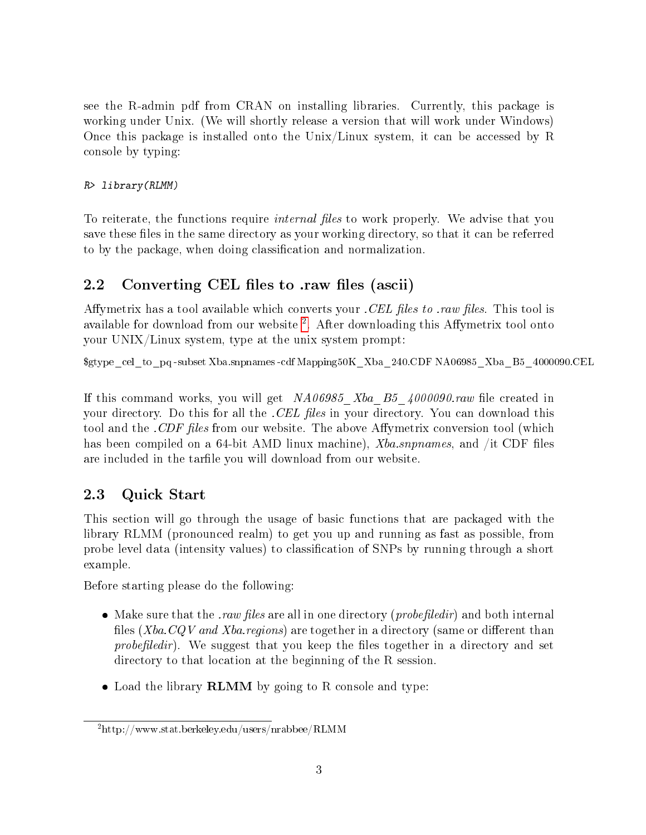see the R-admin pdf from CRAN on installing libraries. Currently, this package is working under Unix. (We will shortly release a version that will work under Windows) Once this package is installed onto the Unix/Linux system, it can be accessed by R console by typing:

#### R> library(RLMM)

To reiterate, the functions require *internal files* to work properly. We advise that you save these files in the same directory as your working directory, so that it can be referred to by the package, when doing classification and normalization.

### <span id="page-2-0"></span>2.2 Converting CEL files to .raw files (ascii)

Affymetrix has a tool available which converts your . CEL files to .raw files. This tool is available for download from our website  $^2$  $^2$ . After downloading this Affymetrix tool onto your UNIX/Linux system, type at the unix system prompt:

\$gtype\_cel\_to\_pq -subset Xba.snpnames -cdf Mapping50K\_Xba\_240.CDF NA06985\_Xba\_B5\_4000090.CEL

If this command works, you will get  $NA06985$  Xba B5  $4000090$  raw file created in your directory. Do this for all the *CEL files* in your directory. You can download this tool and the .CDF files from our website. The above Affymetrix conversion tool (which has been compiled on a 64-bit AMD linux machine),  $Xba$ .snpnames, and /it CDF files are included in the tarfile you will download from our website.

### <span id="page-2-1"></span>2.3 Quick Start

This section will go through the usage of basic functions that are packaged with the library RLMM (pronounced realm) to get you up and running as fast as possible, from probe level data (intensity values) to classification of SNPs by running through a short example.

Before starting please do the following:

- Make sure that the *raw files* are all in one directory (*probefiledir*) and both internal files (Xba.CQV and Xba.regions) are together in a directory (same or different than probefiledir). We suggest that you keep the files together in a directory and set directory to that location at the beginning of the R session.
- Load the library **RLMM** by going to R console and type:

<span id="page-2-2"></span><sup>2</sup>http://www.stat.berkeley.edu/users/nrabbee/RLMM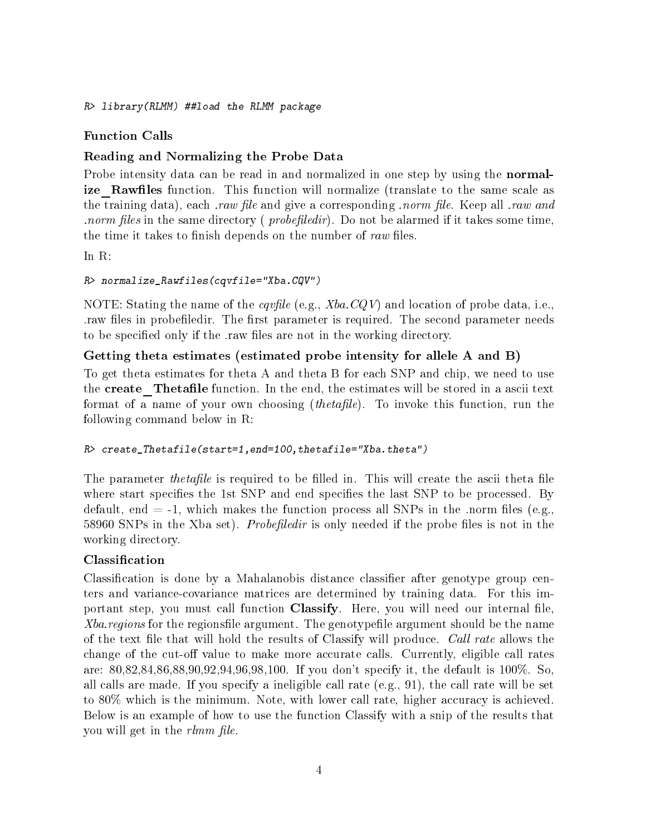R> library(RLMM) ##load the RLMM package

#### Function Calls

#### Reading and Normalizing the Probe Data

Probe intensity data can be read in and normalized in one step by using the **normal**ize Rawfiles function. This function will normalize (translate to the same scale as the training data), each *raw file* and give a corresponding *norm file.* Keep all *raw and norm files* in the same directory (*probefiledir*). Do not be alarmed if it takes some time, the time it takes to finish depends on the number of raw files.

In R:

#### R> normalize\_Rawfiles(cqvfile="Xba.CQV")

NOTE: Stating the name of the *cqvfile* (e.g.,  $Xba$ .CQV) and location of probe data, i.e., raw files in probefiledir. The first parameter is required. The second parameter needs to be specified only if the raw files are not in the working directory.

#### Getting theta estimates (estimated probe intensity for allele A and B)

To get theta estimates for theta A and theta B for each SNP and chip, we need to use the create Thetafile function. In the end, the estimates will be stored in a ascii text format of a name of your own choosing *(thetafile)*. To invoke this function, run the following command below in R:

#### R> create Thetafile(start=1,end=100,thetafile="Xba.theta")

The parameter *thetafile* is required to be filled in. This will create the ascii theta file where start specifies the 1st SNP and end specifies the last SNP to be processed. By default, end  $=$  -1, which makes the function process all SNPs in the .norm files (e.g., 58960 SNPs in the Xba set). *Probefiledir* is only needed if the probe files is not in the working directory.

#### Classification

Classification is done by a Mahalanobis distance classifier after genotype group centers and variance-covariance matrices are determined by training data. For this important step, you must call function **Classify**. Here, you will need our internal file, Xba. regions for the regionsfile argument. The genotypefile argument should be the name of the text file that will hold the results of Classify will produce. Call rate allows the change of the cut-off value to make more accurate calls. Currently, eligible call rates are: 80,82,84,86,88,90,92,94,96,98,100. If you don't specify it, the default is 100%. So, all calls are made. If you specify a ineligible call rate (e.g., 91), the call rate will be set to 80% which is the minimum. Note, with lower call rate, higher accuracy is achieved. Below is an example of how to use the function Classify with a snip of the results that you will get in the *rlmm file*.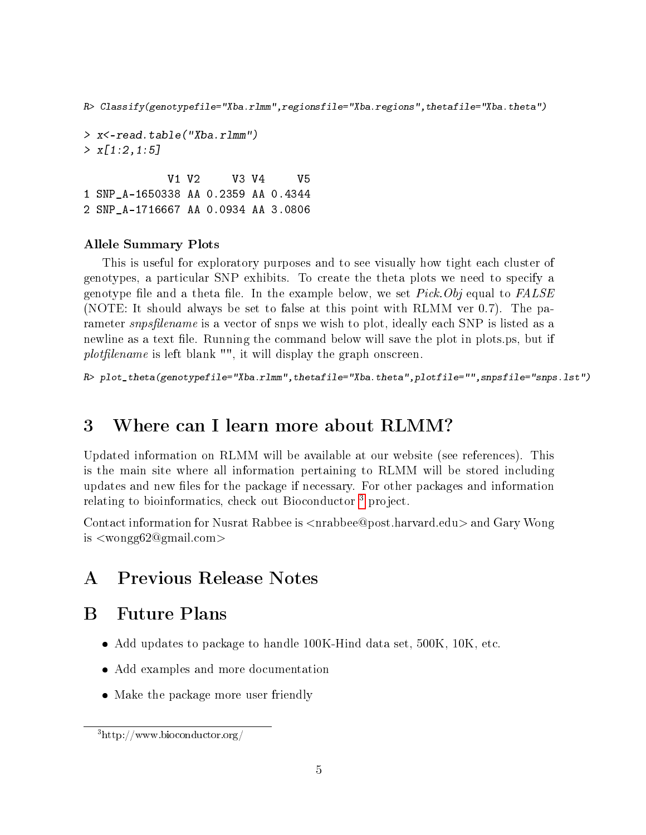R> Classify(genotypefile="Xba.rlmm",regionsfile="Xba.regions",thetafile="Xba.theta")

> x<-read.table("Xba.rlmm")  $> x[1:2,1:5]$ 

V1 V2 V3 V4 V5 1 SNP\_A-1650338 AA 0.2359 AA 0.4344 2 SNP\_A-1716667 AA 0.0934 AA 3.0806

#### Allele Summary Plots

This is useful for exploratory purposes and to see visually how tight each cluster of genotypes, a particular SNP exhibits. To create the theta plots we need to specify a genotype file and a theta file. In the example below, we set  $Pick.Obj$  equal to  $FALSE$ (NOTE: It should always be set to false at this point with RLMM ver 0.7). The parameter *snpsfilename* is a vector of snps we wish to plot, ideally each SNP is listed as a newline as a text file. Running the command below will save the plot in plots.ps, but if  $plotfilename$  is left blank "", it will display the graph onscreen.

```
R> plot_theta(genotypefile="Xba.rlmm",thetafile="Xba.theta",plotfile="",snpsfile="snps.lst")
```
## <span id="page-4-0"></span>3 Where can I learn more about RLMM?

Updated information on RLMM will be available at our website (see references). This is the main site where all information pertaining to RLMM will be stored including updates and new files for the package if necessary. For other packages and information relating to bioinformatics, check out Bioconductor<sup>[3](#page-4-3)</sup> project.

Contact information for Nusrat Rabbee is  $\langle$ nrabbee@post.harvard.edu $\rangle$  and Gary Wong is <wongg62@gmail.com>

## <span id="page-4-1"></span>A Previous Release Notes

## <span id="page-4-2"></span>B Future Plans

- Add updates to package to handle 100K-Hind data set, 500K, 10K, etc.
- Add examples and more documentation
- Make the package more user friendly

<span id="page-4-3"></span><sup>3</sup>http://www.bioconductor.org/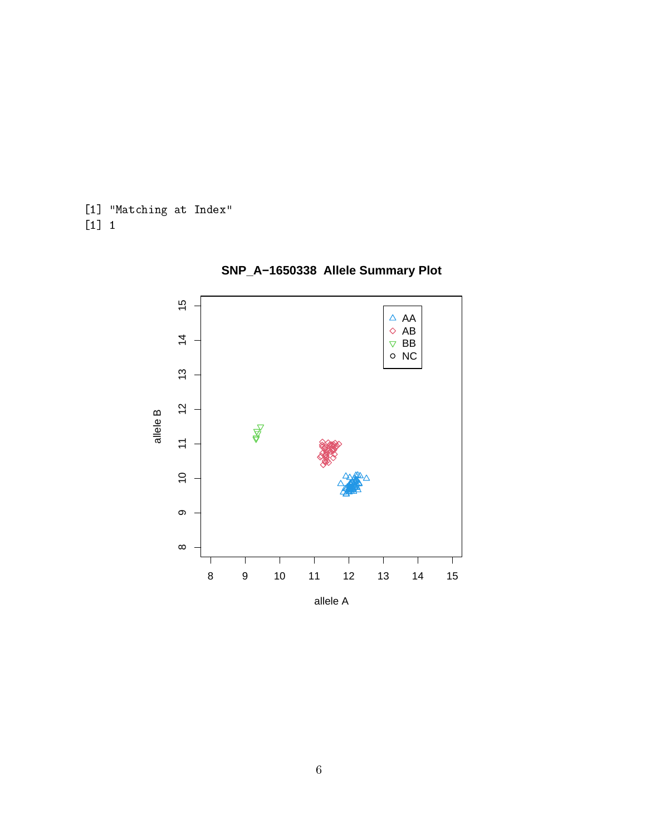[1] "Matching at Index" [1] 1



**SNP\_A−1650338 Allele Summary Plot**